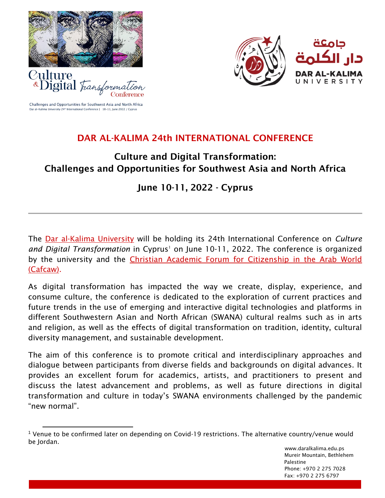

*P*ulture

«Digital Tran



Challenges and Opportunities for Southwest Asia and North Africa Dar al-Kalima University 24<sup>th</sup> International Conference | 10-11, June 2022 / Cyprus

# DAR AL-KALIMA 24th INTERNATIONAL CONFERENCE

# Culture and Digital Transformation: Challenges and Opportunities for Southwest Asia and North Africa

# June 10-11, 2022 - Cyprus

The [Dar al-Kalima University](https://www.daralkalima.edu.ps/en) will be holding its 24th International Conference on *Culture*  and Digital Transformation in Cyprus<sup>1</sup> on June 10-11, 2022. The conference is organized by the university and the [Christian Academic Forum for Citizenship in the Arab World](http://cafcaw.org/)  [\(Cafcaw\).](http://cafcaw.org/)

As digital transformation has impacted the way we create, display, experience, and consume culture, the conference is dedicated to the exploration of current practices and future trends in the use of emerging and interactive digital technologies and platforms in different Southwestern Asian and North African (SWANA) cultural realms such as in arts and religion, as well as the effects of digital transformation on tradition, identity, cultural diversity management, and sustainable development.

The aim of this conference is to promote critical and interdisciplinary approaches and dialogue between participants from diverse fields and backgrounds on digital advances. It provides an excellent forum for academics, artists, and practitioners to present and discuss the latest advancement and problems, as well as future directions in digital transformation and culture in today's SWANA environments challenged by the pandemic "new normal".

<sup>1</sup> Venue to be confirmed later on depending on Covid-19 restrictions. The alternative country/venue would be Jordan.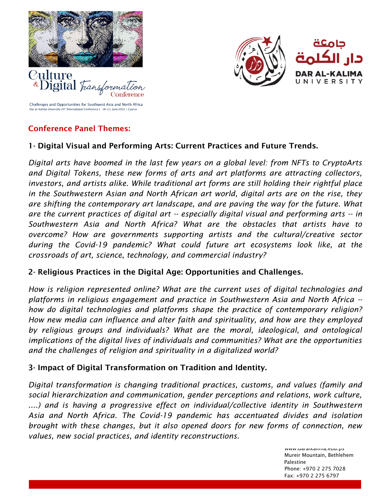



Challenges and Opportunities for Southwest Asia and North Africa Dar al-Kalima University 24<sup>th</sup> International Conference | 10-11, June 2022 / Cypru

## Conference Panel Themes:

*<u><b>\*Digital</u> Frans* 

## 1- Digital Visual and Performing Arts: Current Practices and Future Trends.

*Digital arts have boomed in the last few years on a global level: from NFTs to CryptoArts and Digital Tokens, these new forms of arts and art platforms are attracting collectors, investors, and artists alike. While traditional art forms are still holding their rightful place in the Southwestern Asian and North African art world, digital arts are on the rise, they are shifting the contemporary art landscape, and are paving the way for the future. What are the current practices of digital art -- especially digital visual and performing arts -- in Southwestern Asia and North Africa? What are the obstacles that artists have to overcome? How are governments supporting artists and the cultural/creative sector during the Covid-19 pandemic? What could future art ecosystems look like, at the crossroads of art, science, technology, and commercial industry?* 

## 2- Religious Practices in the Digital Age: Opportunities and Challenges.

*How is religion represented online? What are the current uses of digital technologies and platforms in religious engagement and practice in Southwestern Asia and North Africa - how do digital technologies and platforms shape the practice of contemporary religion? How new media can influence and alter faith and spirituality, and how are they employed by religious groups and individuals? What are the moral, ideological, and ontological implications of the digital lives of individuals and communities? What are the opportunities and the challenges of religion and spirituality in a digitalized world?*

## 3- Impact of Digital Transformation on Tradition and Identity.

*Digital transformation is changing traditional practices, customs, and values (family and social hierarchization and communication, gender perceptions and relations, work culture,*  ....) and is having a progressive effect on individual/collective identity in Southwestern *Asia and North Africa. The Covid-19 pandemic has accentuated divides and isolation brought with these changes, but it also opened doors for new forms of connection, new values, new social practices, and identity reconstructions.* 

> www.uaranalima.cuu.ps Mureir Mountain, Bethlehem Palestine in the control of the control of the control of the control of the control of the control of the control of the control of the control of the control of the control of the control of the control of the control of Phone: +970 2 275 7028 Fax: +970 2 275 6797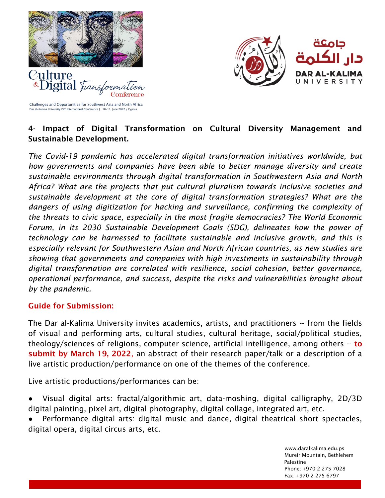



Challenges and Opportunities for Southwest Asia and North Africa Dar al-Kalima University 24<sup>th</sup> International Conference | 10-11, June 2022 / Cyprus

*<u><i><b>\*Digital* Fran</u>

# 4- Impact of Digital Transformation on Cultural Diversity Management and Sustainable Development.

*The Covid-19 pandemic has accelerated digital transformation initiatives worldwide, but how governments and companies have been able to better manage diversity and create sustainable environments through digital transformation in Southwestern Asia and North Africa? What are the projects that put cultural pluralism towards inclusive societies and sustainable development at the core of digital transformation strategies? What are the dangers of using digitization for hacking and surveillance, confirming the complexity of the threats to civic space, especially in the most fragile democracies? The World Economic Forum, in its 2030 Sustainable Development Goals (SDG), delineates how the power of technology can be harnessed to facilitate sustainable and inclusive growth, and this is especially relevant for Southwestern Asian and North African countries, as new studies are showing that governments and companies with high investments in sustainability through digital transformation are correlated with resilience, social cohesion, better governance, operational performance, and success, despite the risks and vulnerabilities brought about by the pandemic.* 

#### Guide for Submission:

The Dar al-Kalima University invites academics, artists, and practitioners -- from the fields of visual and performing arts, cultural studies, cultural heritage, social/political studies, theology/sciences of religions, computer science, artificial intelligence, among others -- to submit by March 19, 2022, an abstract of their research paper/talk or a description of a live artistic production/performance on one of the themes of the conference.

Live artistic productions/performances can be:

- Visual digital arts: fractal/algorithmic art, data-moshing, digital calligraphy, 2D/3D digital painting, pixel art, digital photography, digital collage, integrated art, etc.
- Performance digital arts: digital music and dance, digital theatrical short spectacles, digital opera, digital circus arts, etc.

 www.daralkalima.edu.ps Mureir Mountain, Bethlehem Palestine in the control of the control of the control of the control of the control of the control of the control of the control of the control of the control of the control of the control of the control of the control of Phone: +970 2 275 7028 Fax: +970 2 275 6797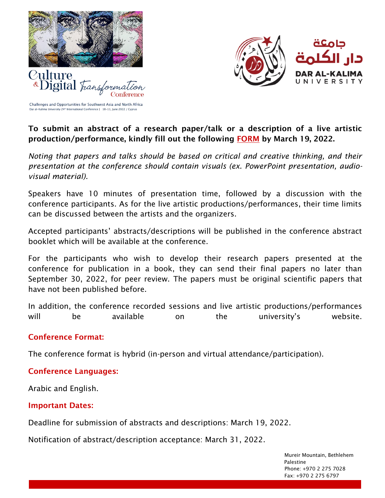



Challenges and Opportunities for Southwest Asia and North Africa Dar al-Kalima University 24<sup>th</sup> International Conference | 10-11, June 2022 / Cyprus

*<u><b>\*Digital</u>* Fran

## To submit an abstract of a research paper/talk or a description of a live artistic production/performance, kindly fill out the following [FORM](https://docs.google.com/forms/d/e/1FAIpQLSd-mZGIFmXOqQ8c--33UzO8mELKkEEFpe7u30myfSBYXBikDA/viewform?usp=sf_link) by March 19, 2022.

*Noting that papers and talks should be based on critical and creative thinking, and their presentation at the conference should contain visuals (ex. PowerPoint presentation, audiovisual material).*

Speakers have 10 minutes of presentation time, followed by a discussion with the conference participants. As for the live artistic productions/performances, their time limits can be discussed between the artists and the organizers.

Accepted participants' abstracts/descriptions will be published in the conference abstract booklet which will be available at the conference.

For the participants who wish to develop their research papers presented at the conference for publication in a book, they can send their final papers no later than September 30, 2022, for peer review. The papers must be original scientific papers that have not been published before.

In addition, the conference recorded sessions and live artistic productions/performances will be available on the university's website.

## Conference Format:

The conference format is hybrid (in-person and virtual attendance/participation).

# Conference Languages:

Arabic and English.

## Important Dates:

Deadline for submission of abstracts and descriptions: March 19, 2022.

Notification of abstract/description acceptance: March 31, 2022.

 Mureir Mountain, Bethlehem Palestine in the control of the control of the control of the control of the control of the control of the control of the control of the control of the control of the control of the control of the control of the control of Phone: +970 2 275 7028 Fax: +970 2 275 6797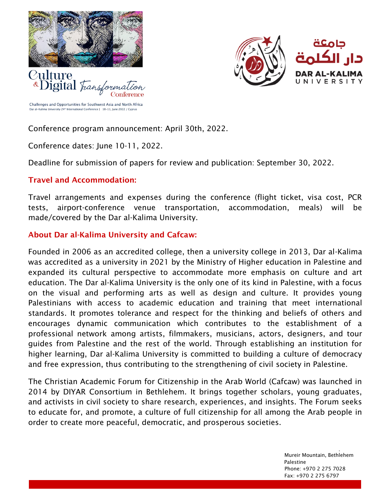



Challenges and Opportunities for Southwest Asia and North Africa Dar al-Kalima University 24<sup>th</sup> International Conference | 10-11, June 2022 / Cyprus

*<u><b>\*Digital</u> Frans* 

Conference program announcement: April 30th, 2022.

Conference dates: June 10-11, 2022.

Deadline for submission of papers for review and publication: September 30, 2022.

## Travel and Accommodation:

Travel arrangements and expenses during the conference (flight ticket, visa cost, PCR tests, airport-conference venue transportation, accommodation, meals) will be made/covered by the Dar al-Kalima University.

## About Dar al-Kalima University and Cafcaw:

Founded in 2006 as an accredited college, then a university college in 2013, Dar al-Kalima was accredited as a university in 2021 by the Ministry of Higher education in Palestine and expanded its cultural perspective to accommodate more emphasis on culture and art education. The Dar al-Kalima University is the only one of its kind in Palestine, with a focus on the visual and performing arts as well as design and culture. It provides young Palestinians with access to academic education and training that meet international standards. It promotes tolerance and respect for the thinking and beliefs of others and encourages dynamic communication which contributes to the establishment of a professional network among artists, filmmakers, musicians, actors, designers, and tour guides from Palestine and the rest of the world. Through establishing an institution for higher learning, Dar al-Kalima University is committed to building a culture of democracy and free expression, thus contributing to the strengthening of civil society in Palestine.

The Christian Academic Forum for Citizenship in the Arab World (Cafcaw) was launched in 2014 by DIYAR Consortium in Bethlehem. It brings together scholars, young graduates, and activists in civil society to share research, experiences, and insights. The Forum seeks to educate for, and promote, a culture of full citizenship for all among the Arab people in order to create more peaceful, democratic, and prosperous societies.

w.daralkalima.edu.ps<br>edu.ps

 Mureir Mountain, Bethlehem Palestine in the control of the control of the control of the control of the control of the control of the control of the control of the control of the control of the control of the control of the control of the control of Phone: +970 2 275 7028 Fax: +970 2 275 6797